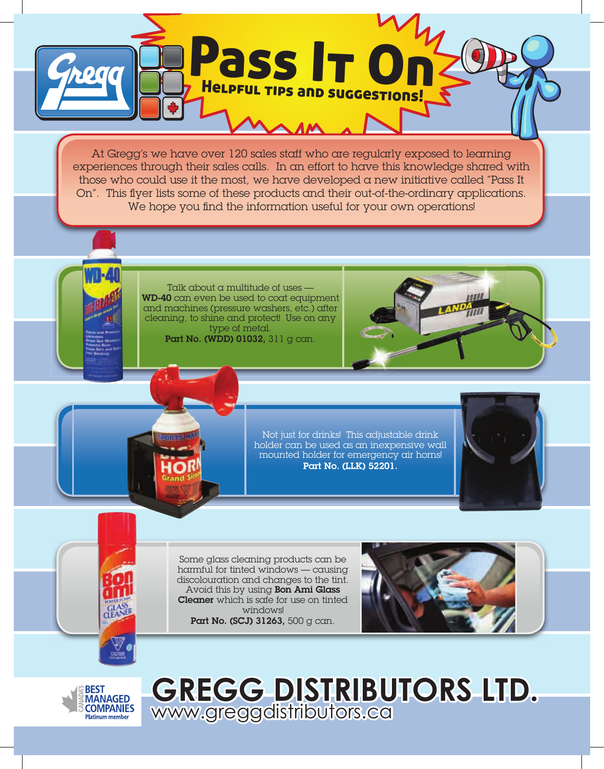

At Gregg's we have over 120 sales staff who are regularly exposed to learning experiences through their sales calls. In an effort to have this knowledge shared with those who could use it the most, we have developed a new initiative called "Pass It On". This flyer lists some of these products and their out-of-the-ordinary applications. We hope you find the information useful for your own operations!

> Talk about a multitude of uses -WD-40 can even be used to coat equipment and machines (pressure washers, etc.) after cleaning, to shine and protect! Use on any type of metal. Part No. (WDD) 01032, 311 g can.



Not just for drinks! This adjustable drink holder can be used as an inexpensive wall mounted holder for emergency air horns! Part No. (LLK) 52201.



Some glass cleaning products can be harmful for tinted windows — causing discolouration and changes to the tint. Avoid this by using **Bon Ami Glass Cleaner** which is safe for use on tinted windows! Part No. (SCJ) 31263, 500 g can.





**GREGG DISTRIBUTORS LTD.**  www.greggdistributors.ca